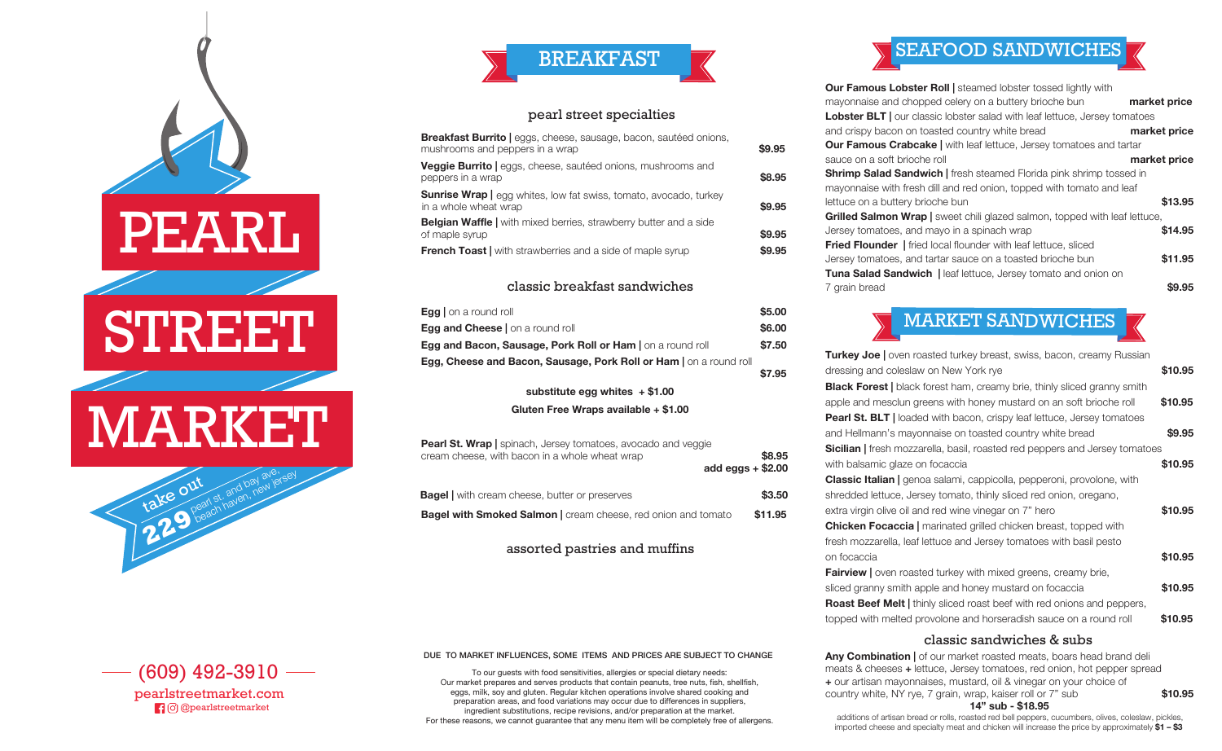

—— (609) 492-3910 pearlstreetmarket.com pressure are accurated areas, and food variation are  $\Gamma$  to difference in suppliers,  $\Gamma$  to difference in suppliers,  $\Gamma$ 

Our market prepares and serves products that contain peanuts, tree nuts, sh, shellsh,

 $\Box$   $\Box$   $\Box$   $\Box$  predisions, and  $\Box$ 



## pearl street specialties

| <b>Breakfast Burrito</b>   eggs, cheese, sausage, bacon, sautéed onions,<br>mushrooms and peppers in a wrap | \$9.95 |
|-------------------------------------------------------------------------------------------------------------|--------|
| Veggie Burrito   eggs, cheese, sautéed onions, mushrooms and<br>peppers in a wrap                           | \$8,95 |
| <b>Sunrise Wrap</b>   egg whites, low fat swiss, tomato, avocado, turkey<br>in a whole wheat wrap           | \$9.95 |
| <b>Belgian Waffle</b>   with mixed berries, strawberry butter and a side<br>of maple syrup                  | \$9.95 |
| <b>French Toast</b> with strawberries and a side of maple syrup                                             | \$9.95 |
|                                                                                                             |        |

### classic breakfast sandwiches

| <b>Egg</b> on a round roll                                         | \$5.00 |
|--------------------------------------------------------------------|--------|
| <b>Egg and Cheese</b> on a round roll                              | \$6.00 |
| Egg and Bacon, Sausage, Pork Roll or Ham   on a round roll         | \$7.50 |
| Egg, Cheese and Bacon, Sausage, Pork Roll or Ham   on a round roll |        |
|                                                                    | \$7.95 |

**substitute egg whites + \$1.00**

**Gluten Free Wraps available + \$1.00**

| Giuten Free Wraps available + \$1.00                                                                                   |                               |
|------------------------------------------------------------------------------------------------------------------------|-------------------------------|
| <b>Pearl St. Wrap</b>   spinach, Jersey tomatoes, avocado and veggie<br>cream cheese, with bacon in a whole wheat wrap | \$8.95<br>add eggs $+$ \$2.00 |
| <b>Bagel</b> with cream cheese, butter or preserves                                                                    | \$3.50                        |
| <b>Bagel with Smoked Salmon</b>   cream cheese, red onion and tomato                                                   | \$11.95                       |
| assorted pastries and muffins                                                                                          |                               |

DUE TO MARKET INFLUENCES, SOME ITEMS AND PRICES ARE SUBJECT TO CHANGE

To our guests with food sensitivities, allergies or special dietary needs: Our market prepares and serves products that contain peanuts, tree nuts, fish, shellfish,<br>Our market prepares and serves products that contain peanuts, tree nuts, shellfish, shellfish, eggs, milk, soy and gluten. Regular kitchen operations involve shared cooking and preparation areas, and food variations may occur due to differences in suppliers, ingredient substitutions, recipe revisions, and/or preparation at the market. ingredient substitutions, recipe revisions, and/or preparation at the market.<br>For these reasons, we cannot guarantee that any menu item will be completely free of allergens.

# SEAFOOD SANDWICHES

| Our Famous Lobster Roll   steamed lobster tossed lightly with                     |              |
|-----------------------------------------------------------------------------------|--------------|
| mayonnaise and chopped celery on a buttery brioche bun                            | market price |
| <b>Lobster BLT</b> our classic lobster salad with leaf lettuce, Jersey tomatoes   |              |
| and crispy bacon on toasted country white bread                                   | market price |
| <b>Our Famous Crabcake</b>   with leaf lettuce, Jersey tomatoes and tartar        |              |
| sauce on a soft brioche roll                                                      | market price |
| <b>Shrimp Salad Sandwich</b>   fresh steamed Florida pink shrimp tossed in        |              |
| mayonnaise with fresh dill and red onion, topped with tomato and leaf             |              |
| lettuce on a buttery brioche bun                                                  | \$13.95      |
| <b>Grilled Salmon Wrap</b>   sweet chili glazed salmon, topped with leaf lettuce, |              |
| Jersey tomatoes, and mayo in a spinach wrap                                       | \$14.95      |
| <b>Fried Flounder</b>   fried local flounder with leaf lettuce, sliced            |              |
| Jersey tomatoes, and tartar sauce on a toasted brioche bun                        | \$11.95      |
| Tuna Salad Sandwich   leaf lettuce, Jersey tomato and onion on                    |              |
| 7 grain bread                                                                     | \$9.95       |



| <b>Turkey Joe</b>   oven roasted turkey breast, swiss, bacon, creamy Russian     |         |
|----------------------------------------------------------------------------------|---------|
| dressing and coleslaw on New York rye                                            | \$10.95 |
| <b>Black Forest</b>   black forest ham, creamy brie, thinly sliced granny smith  |         |
| apple and mesclun greens with honey mustard on an soft brioche roll              | \$10.95 |
| <b>Pearl St. BLT</b>   loaded with bacon, crispy leaf lettuce, Jersey tomatoes   |         |
| and Hellmann's mayonnaise on toasted country white bread                         | \$9.95  |
| <b>Sicilian</b> fresh mozzarella, basil, roasted red peppers and Jersey tomatoes |         |
| with balsamic glaze on focaccia                                                  | \$10.95 |
| <b>Classic Italian</b>   genoa salami, cappicolla, pepperoni, provolone, with    |         |
| shredded lettuce, Jersey tomato, thinly sliced red onion, oregano,               |         |
| extra virgin olive oil and red wine vinegar on 7" hero                           | \$10.95 |
| <b>Chicken Focaccia</b>   marinated grilled chicken breast, topped with          |         |
| fresh mozzarella, leaf lettuce and Jersey tomatoes with basil pesto              |         |
| on focaccia                                                                      | \$10.95 |
| <b>Fairview</b>   oven roasted turkey with mixed greens, creamy brie,            |         |
| sliced granny smith apple and honey mustard on focaccia                          | \$10.95 |
| <b>Roast Beef Melt</b>   thinly sliced roast beef with red onions and peppers,   |         |
| topped with melted provolone and horseradish sauce on a round roll               | \$10.95 |

## classic sandwiches & subs

(609) 492-3910 **+** our artisan mayonnaises, mustard, oil & vinegar on your choice of pearl, wide, Raiser For St Pool.<br>**14" sub - \$18.95 Any Combination |** of our market roasted meats, boars head brand deli meats & cheeses **+** lettuce, Jersey tomatoes, red onion, hot pepper spread country white, NY rye, 7 grain, wrap, kaiser roll or 7" sub **\$10.95**

additions of artisan bread or rolls, roasted red bell peppers, cucumbers, olives, coleslaw, pickles, imported cheese and specialty meat and chicken will increase the price by approximately **\$1 – \$3**